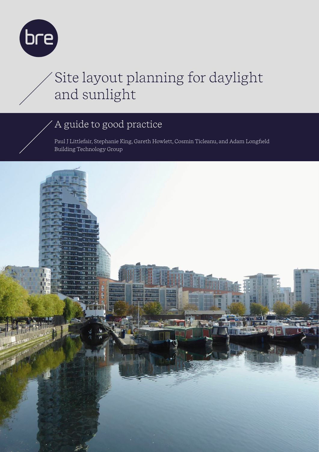

# Site layout planning for daylight and sunlight

### A guide to good practice

Paul J Littlefair, Stephanie King, Gareth Howlett, Cosmin Ticleanu, and Adam Longfield Building Technology Group

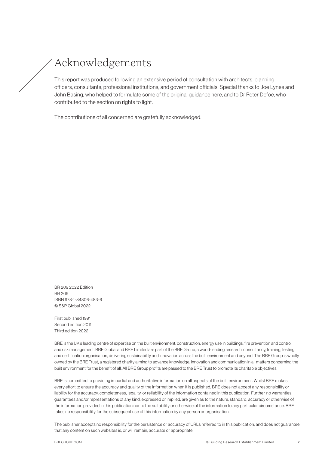### Acknowledgements

This report was produced following an extensive period of consultation with architects, planning officers, consultants, professional institutions, and government officials. Special thanks to Joe Lynes and John Basing, who helped to formulate some of the original guidance here, and to Dr Peter Defoe, who contributed to the section on rights to light.

The contributions of all concerned are gratefully acknowledged.

BR 209 2022 Edition BR 209 ISBN 978-1-84806-483-6 © S&P Global 2022

First published 1991 Second edition 2011 Third edition 2022

BRE is the UK's leading centre of expertise on the built environment, construction, energy use in buildings, fire prevention and control, and risk management. BRE Global and BRE Limited are part of the BRE Group, a world-leading research, consultancy, training, testing, and certification organisation, delivering sustainability and innovation across the built environment and beyond. The BRE Group is wholly owned by the BRE Trust, a registered charity aiming to advance knowledge, innovation and communication in all matters concerning the built environment for the benefit of all. All BRE Group profits are passed to the BRE Trust to promote its charitable objectives.

BRE is committed to providing impartial and authoritative information on all aspects of the built environment. Whilst BRE makes every effort to ensure the accuracy and quality of the information when it is published, BRE does not accept any responsibility or liability for the accuracy, completeness, legality, or reliability of the information contained in this publication. Further, no warranties, guarantees and/or representations of any kind, expressed or implied, are given as to the nature, standard, accuracy or otherwise of the information provided in this publication nor to the suitability or otherwise of the information to any particular circumstance. BRE takes no responsibility for the subsequent use of this information by any person or organisation.

The publisher accepts no responsibility for the persistence or accuracy of URLs referred to in this publication, and does not guarantee that any content on such websites is, or will remain, accurate or appropriate.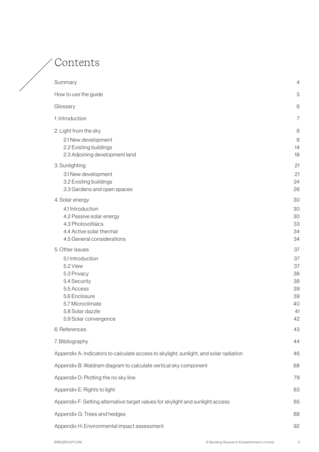### Contents

| Summary                                                                                                                                                     | 4                                                  |
|-------------------------------------------------------------------------------------------------------------------------------------------------------------|----------------------------------------------------|
| How to use the guide                                                                                                                                        | 5                                                  |
| Glossary                                                                                                                                                    | 6                                                  |
| 1. Introduction                                                                                                                                             | 7                                                  |
| 2. Light from the sky                                                                                                                                       | 8                                                  |
| 2.1 New development<br>2.2 Existing buildings<br>2.3 Adjoining development land                                                                             | 8<br>14<br>18                                      |
| 3. Sunlighting                                                                                                                                              | 21                                                 |
| 3.1 New development<br>3.2 Existing buildings<br>3.3 Gardens and open spaces                                                                                | 21<br>24<br>26                                     |
| 4. Solar energy                                                                                                                                             | 30                                                 |
| 4.1 Introduction<br>4.2 Passive solar energy<br>4.3 Photovoltaics<br>4.4 Active solar thermal<br>4.5 General considerations                                 | 30<br>30<br>33<br>34<br>34                         |
| 5. Other issues                                                                                                                                             | 37                                                 |
| 5.1 Introduction<br>5.2 View<br>5.3 Privacy<br>5.4 Security<br>5.5 Access<br>5.6 Enclosure<br>5.7 Microclimate<br>5.8 Solar dazzle<br>5.9 Solar convergence | 37<br>37<br>38<br>38<br>39<br>39<br>40<br>41<br>42 |
| 6. References                                                                                                                                               | 43                                                 |
| 7. Bibliography                                                                                                                                             | 44                                                 |
| Appendix A: Indicators to calculate access to skylight, sunlight, and solar radiation                                                                       | 46                                                 |
| Appendix B: Waldram diagram to calculate vertical sky component                                                                                             | 68                                                 |
| Appendix D: Plotting the no sky line                                                                                                                        | 79                                                 |
| Appendix E: Rights to light                                                                                                                                 | 83                                                 |
| Appendix F: Setting alternative target values for skylight and sunlight access                                                                              | 85                                                 |
| Appendix G: Trees and hedges                                                                                                                                | 88                                                 |
| Appendix H: Environmental impact assessment                                                                                                                 | 92                                                 |
|                                                                                                                                                             |                                                    |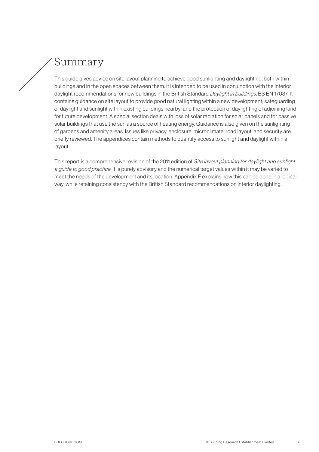### <span id="page-3-0"></span>Summary

This guide gives advice on site layout planning to achieve good sunlighting and daylighting, both within buildings and in the open spaces between them. It is intended to be used in conjunction with the interior daylight recommendations for new buildings in the British Standard Daylight in buildings, BS EN 17037. It contains guidance on site layout to provide good natural lighting within a new development; safeguarding of daylight and sunlight within existing buildings nearby; and the protection of daylighting of adjoining land for future development. A special section deals with loss of solar radiation for solar panels and for passive solar buildings that use the sun as a source of heating energy. Guidance is also given on the sunlighting of gardens and amenity areas. Issues like privacy, enclosure, microclimate, road layout, and security are briefly reviewed. The appendices contain methods to quantify access to sunlight and daylight within a layout.

This report is a comprehensive revision of the 2011 edition of *Site layout planning for daylight and sunlight:* a guide to good practice. It is purely advisory and the numerical target values within it may be varied to meet the needs of the development and its location. Appendix F explains how this can be done in a logical way, while retaining consistency with the British Standard recommendations on interior daylighting.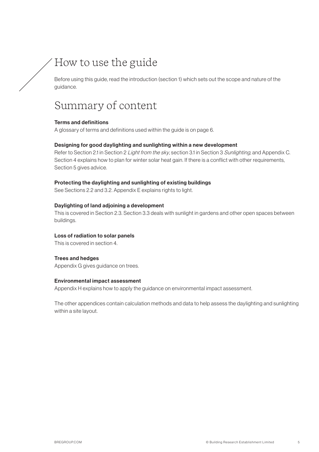### <span id="page-4-0"></span>How to use the guide

Before using this guide, read the introduction (section 1) which sets out the scope and nature of the guidance.

### Summary of content

#### Terms and definitions

A glossary of terms and definitions used within the guide is on page 6.

#### Designing for good daylighting and sunlighting within a new development

Refer to Section 2.1 in Section 2 Light from the sky, section 3.1 in Section 3 Sunlighting, and Appendix C. Section 4 explains how to plan for winter solar heat gain. If there is a conflict with other requirements, Section 5 gives advice.

#### Protecting the daylighting and sunlighting of existing buildings

See Sections 2.2 and 3.2. Appendix E explains rights to light.

#### Daylighting of land adjoining a development

This is covered in Section 2.3. Section 3.3 deals with sunlight in gardens and other open spaces between buildings.

#### Loss of radiation to solar panels

This is covered in section 4.

#### Trees and hedges

Appendix G gives guidance on trees.

#### Environmental impact assessment

Appendix H explains how to apply the guidance on environmental impact assessment.

The other appendices contain calculation methods and data to help assess the daylighting and sunlighting within a site layout.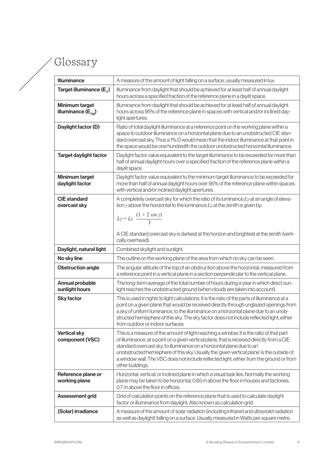## <span id="page-5-0"></span>Glossary

| Illuminance                                  | A measure of the amount of light falling on a surface, usually measured in lux.                                                                                                                                                                                                                                                                                                                                                                                             |
|----------------------------------------------|-----------------------------------------------------------------------------------------------------------------------------------------------------------------------------------------------------------------------------------------------------------------------------------------------------------------------------------------------------------------------------------------------------------------------------------------------------------------------------|
| Target illuminance $(E_{\tau})$              | Illuminance from daylight that should be achieved for at least half of annual daylight<br>hours across a specified fraction of the reference plane in a daylit space.                                                                                                                                                                                                                                                                                                       |
| Minimum target<br>illuminance $(E_{\tau_M})$ | Illuminance from daylight that should be achieved for at least half of annual daylight<br>hours across 95% of the reference plane in spaces with vertical and/or inclined day-<br>light apertures.                                                                                                                                                                                                                                                                          |
| Daylight factor (D)                          | Ratio of total daylight illuminance at a reference point on the working plane within a<br>space to outdoor illuminance on a horizontal plane due to an unobstructed CIE stan-<br>dard overcast sky. Thus a 1% D would mean that the indoor illuminance at that point in<br>the space would be one hundredth the outdoor unobstructed horizontal illuminance.                                                                                                                |
| <b>Target daylight factor</b>                | Daylight factor value equivalent to the target illuminance to be exceeded for more than<br>half of annual daylight hours over a specified fraction of the reference plane within a<br>daylit space.                                                                                                                                                                                                                                                                         |
| <b>Minimum target</b><br>daylight factor     | Daylight factor value equivalent to the minimum target illuminance to be exceeded for<br>more than half of annual daylight hours over 95% of the reference plane within spaces<br>with vertical and/or inclined daylight apertures.                                                                                                                                                                                                                                         |
| <b>CIE</b> standard<br>overcast sky          | A completely overcast sky for which the ratio of its luminance $Ly$ at an angle of eleva-<br>tion $\gamma$ above the horizontal to the luminance $Lz$ at the zenith is given by:<br>$L\gamma = Lz \frac{(1+2\sin\gamma)}{3}$                                                                                                                                                                                                                                                |
|                                              | A CIE standard overcast sky is darkest at the horizon and brightest at the zenith (verti-<br>cally overhead).                                                                                                                                                                                                                                                                                                                                                               |
| Daylight, natural light                      | Combined skylight and sunlight.                                                                                                                                                                                                                                                                                                                                                                                                                                             |
| No sky line                                  | The outline on the working plane of the area from which no sky can be seen.                                                                                                                                                                                                                                                                                                                                                                                                 |
| <b>Obstruction angle</b>                     | The angular altitude of the top of an obstruction above the horizontal, measured from<br>a reference point in a vertical plane in a section perpendicular to the vertical plane.                                                                                                                                                                                                                                                                                            |
| <b>Annual probable</b><br>sunlight hours     | The long-term average of the total number of hours during a year in which direct sun-<br>light reaches the unobstructed ground (when clouds are taken into account).                                                                                                                                                                                                                                                                                                        |
| <b>Sky factor</b>                            | This is used in rights to light calculations. It is the ratio of the parts of illuminance at a<br>point on a given plane that would be received directly through unglazed openings from<br>a sky of uniform luminance, to the illuminance on a horizontal plane due to an unob-<br>structed hemisphere of this sky. The sky factor does not include reflected light, either<br>from outdoor or indoor surfaces.                                                             |
| <b>Vertical sky</b><br>component (VSC)       | This is a measure of the amount of light reaching a window. It is the ratio of that part<br>of illuminance, at a point on a given vertical plane, that is received directly from a CIE<br>standard overcast sky, to illuminance on a horizontal plane due to an<br>unobstructed hemisphere of this sky. Usually the 'given vertical plane' is the outside of<br>a window wall. The VSC does not include reflected light, either from the ground or from<br>other buildings. |
| Reference plane or<br>working plane          | Horizontal, vertical, or inclined plane in which a visual task lies. Normally the working<br>plane may be taken to be horizontal, 0.85 m above the floor in houses and factories,<br>0.7 m above the floor in offices.                                                                                                                                                                                                                                                      |
| Assessment grid                              | Grid of calculation points on the reference plane that is used to calculate daylight<br>factor or illuminance from daylight. Also known as calculation grid.                                                                                                                                                                                                                                                                                                                |
| (Solar) irradiance                           | A measure of the amount of solar radiation (including infrared and ultraviolet radiation<br>as well as daylight) falling on a surface. Usually measured in Watts per square metre.                                                                                                                                                                                                                                                                                          |